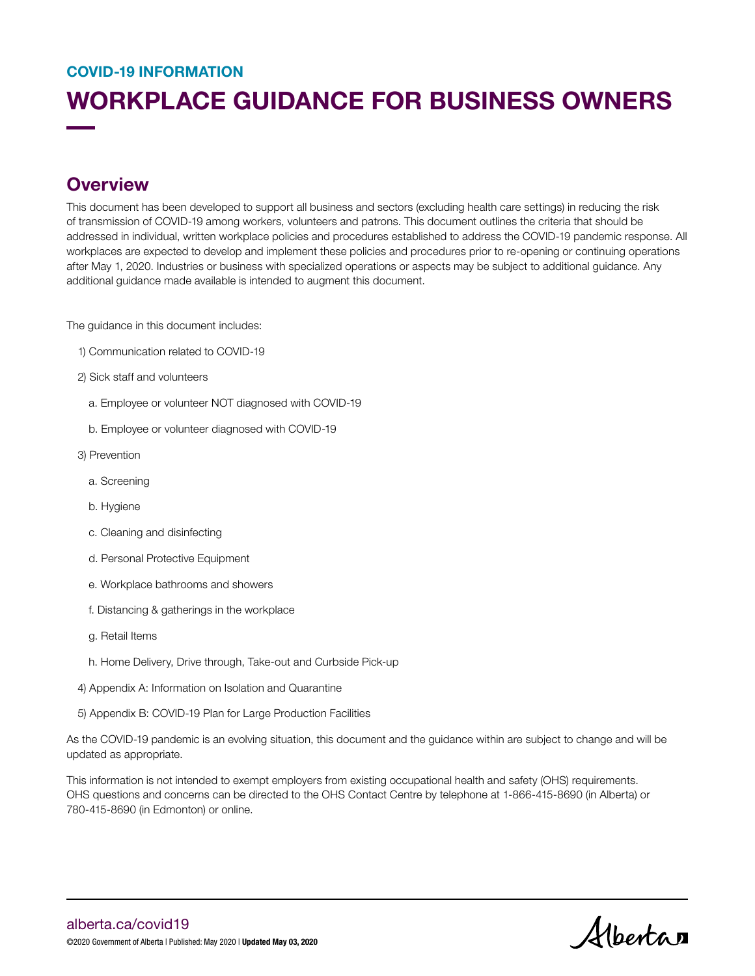# WORKPLACE GUIDANCE FOR BUSINESS OWNERS COVID-19 INFORMATION

### **Overview**

This document has been developed to support all business and sectors (excluding health care settings) in reducing the risk of transmission of COVID-19 among workers, volunteers and patrons. This document outlines the criteria that should be addressed in individual, written workplace policies and procedures established to address the COVID-19 pandemic response. All workplaces are expected to develop and implement these policies and procedures prior to re-opening or continuing operations after May 1, 2020. Industries or business with specialized operations or aspects may be subject to additional guidance. Any additional guidance made available is intended to augment this document.

The guidance in this document includes:

- 1) Communication related to COVID-19
- 2) Sick staff and volunteers
	- a. Employee or volunteer NOT diagnosed with COVID-19
	- b. Employee or volunteer diagnosed with COVID-19
- 3) Prevention
	- a. Screening
	- b. Hygiene
	- c. Cleaning and disinfecting
	- d. Personal Protective Equipment
	- e. Workplace bathrooms and showers
	- f. Distancing & gatherings in the workplace
	- g. Retail Items
	- h. Home Delivery, Drive through, Take-out and Curbside Pick-up
- 4) Appendix A: Information on Isolation and Quarantine
- 5) Appendix B: COVID-19 Plan for Large Production Facilities

As the COVID-19 pandemic is an evolving situation, this document and the guidance within are subject to change and will be updated as appropriate.

This information is not intended to exempt employers from existing occupational health and safety (OHS) requirements. OHS questions and concerns can be directed to the OHS Contact Centre by telephone at 1-866-415-8690 (in Alberta) or 780-415-8690 (in Edmonton) or online.

Albertan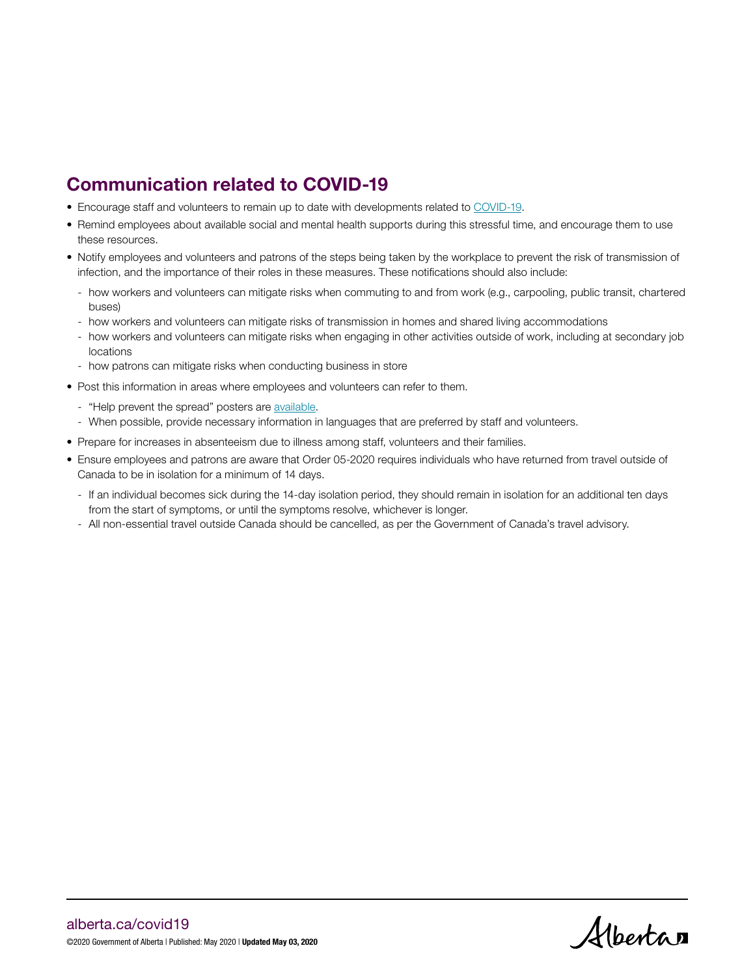## Communication related to COVID-19

- Encourage staff and volunteers to remain up to date with developments related to [COVID-19](https://www.alberta.ca/coronavirus-info-for-albertans.aspx).
- Remind employees about available social and mental health supports during this stressful time, and encourage them to use these resources.
- Notify employees and volunteers and patrons of the steps being taken by the workplace to prevent the risk of transmission of infection, and the importance of their roles in these measures. These notifications should also include:
	- how workers and volunteers can mitigate risks when commuting to and from work (e.g., carpooling, public transit, chartered buses)
	- how workers and volunteers can mitigate risks of transmission in homes and shared living accommodations
	- how workers and volunteers can mitigate risks when engaging in other activities outside of work, including at secondary job locations
	- how patrons can mitigate risks when conducting business in store
- Post this information in areas where employees and volunteers can refer to them.
	- "Help prevent the spread" posters are [available.](https://open.alberta.ca/publications/covid-19-information-help-prevent-the-spread-poster)
	- When possible, provide necessary information in languages that are preferred by staff and volunteers.
- Prepare for increases in absenteeism due to illness among staff, volunteers and their families.
- Ensure employees and patrons are aware that Order 05-2020 requires individuals who have returned from travel outside of Canada to be in isolation for a minimum of 14 days.
	- If an individual becomes sick during the 14-day isolation period, they should remain in isolation for an additional ten days from the start of symptoms, or until the symptoms resolve, whichever is longer.
	- All non-essential travel outside Canada should be cancelled, as per the Government of Canada's travel advisory.

Albertan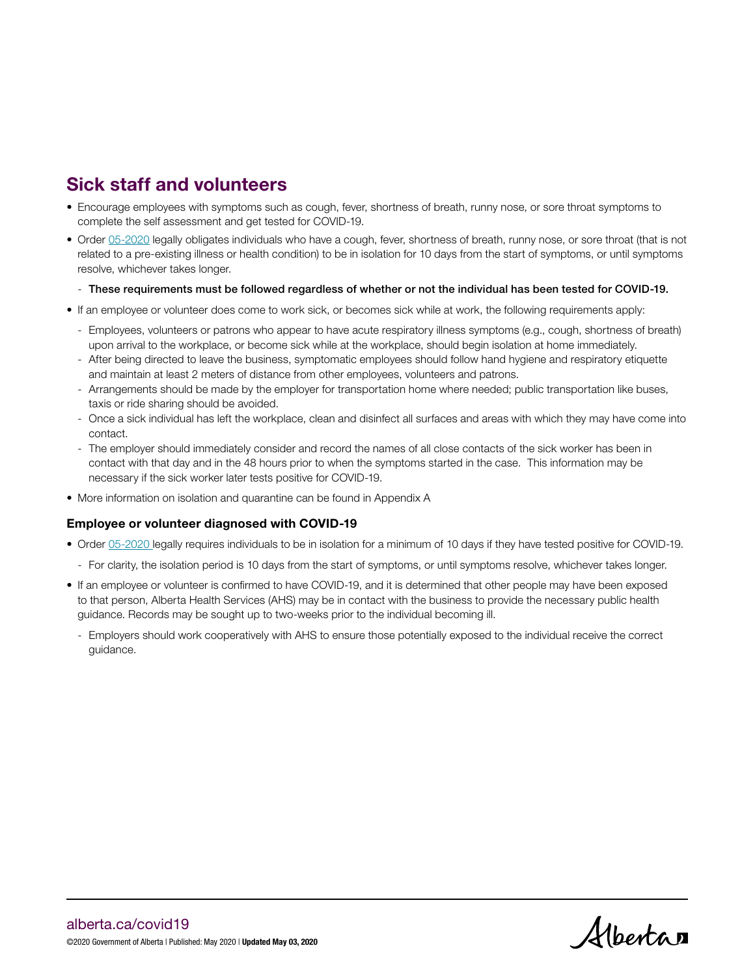# Sick staff and volunteers

- Encourage employees with symptoms such as cough, fever, shortness of breath, runny nose, or sore throat symptoms to complete the self assessment and get tested for COVID-19.
- Order [05-2020](https://open.alberta.ca/dataset/005ee2c3-9877-4145-98d0-4306162ac5aa/resource/46aa9494-7454-4dd4-9f74-a250257be1ab/download/health-cmoh-record-fof-decision-cmoh-05-2020.pdf) legally obligates individuals who have a cough, fever, shortness of breath, runny nose, or sore throat (that is not related to a pre-existing illness or health condition) to be in isolation for 10 days from the start of symptoms, or until symptoms resolve, whichever takes longer.
	- These requirements must be followed regardless of whether or not the individual has been tested for COVID-19.
- If an employee or volunteer does come to work sick, or becomes sick while at work, the following requirements apply:
	- Employees, volunteers or patrons who appear to have acute respiratory illness symptoms (e.g., cough, shortness of breath) upon arrival to the workplace, or become sick while at the workplace, should begin isolation at home immediately.
	- After being directed to leave the business, symptomatic employees should follow hand hygiene and respiratory etiquette and maintain at least 2 meters of distance from other employees, volunteers and patrons.
	- Arrangements should be made by the employer for transportation home where needed; public transportation like buses, taxis or ride sharing should be avoided.
	- Once a sick individual has left the workplace, clean and disinfect all surfaces and areas with which they may have come into contact.
	- The employer should immediately consider and record the names of all close contacts of the sick worker has been in contact with that day and in the 48 hours prior to when the symptoms started in the case. This information may be necessary if the sick worker later tests positive for COVID-19.
- More information on isolation and quarantine can be found in Appendix A

### Employee or volunteer diagnosed with COVID-19

- Order [05-2020 l](https://open.alberta.ca/dataset/005ee2c3-9877-4145-98d0-4306162ac5aa/resource/46aa9494-7454-4dd4-9f74-a250257be1ab/download/health-cmoh-record-fof-decision-cmoh-05-2020.pdf)egally requires individuals to be in isolation for a minimum of 10 days if they have tested positive for COVID-19.
	- For clarity, the isolation period is 10 days from the start of symptoms, or until symptoms resolve, whichever takes longer.
- If an employee or volunteer is confirmed to have COVID-19, and it is determined that other people may have been exposed to that person, Alberta Health Services (AHS) may be in contact with the business to provide the necessary public health guidance. Records may be sought up to two-weeks prior to the individual becoming ill.
	- Employers should work cooperatively with AHS to ensure those potentially exposed to the individual receive the correct guidance.

Albertan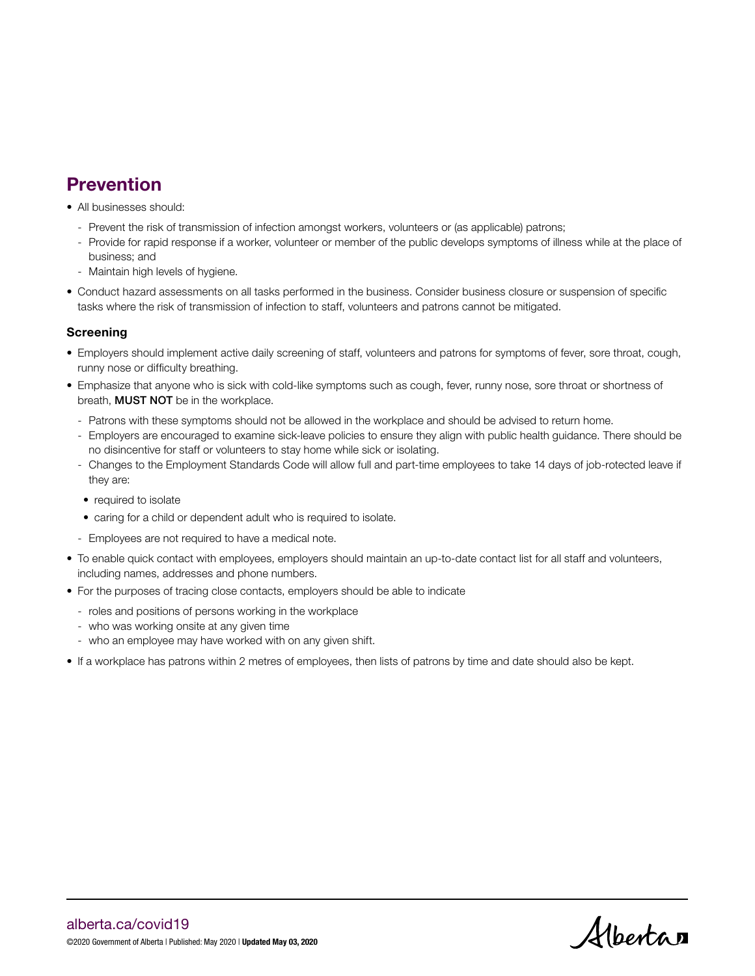# Prevention

- All businesses should:
	- Prevent the risk of transmission of infection amongst workers, volunteers or (as applicable) patrons;
	- Provide for rapid response if a worker, volunteer or member of the public develops symptoms of illness while at the place of business; and
	- Maintain high levels of hygiene.
- Conduct hazard assessments on all tasks performed in the business. Consider business closure or suspension of specific tasks where the risk of transmission of infection to staff, volunteers and patrons cannot be mitigated.

### **Screening**

- Employers should implement active daily screening of staff, volunteers and patrons for symptoms of fever, sore throat, cough, runny nose or difficulty breathing.
- Emphasize that anyone who is sick with cold-like symptoms such as cough, fever, runny nose, sore throat or shortness of breath, MUST NOT be in the workplace.
	- Patrons with these symptoms should not be allowed in the workplace and should be advised to return home.
	- Employers are encouraged to examine sick-leave policies to ensure they align with public health guidance. There should be no disincentive for staff or volunteers to stay home while sick or isolating.
	- Changes to the Employment Standards Code will allow full and part-time employees to take 14 days of job-rotected leave if they are:
	- required to isolate
	- caring for a child or dependent adult who is required to isolate.
	- Employees are not required to have a medical note.
- To enable quick contact with employees, employers should maintain an up-to-date contact list for all staff and volunteers, including names, addresses and phone numbers.
- For the purposes of tracing close contacts, employers should be able to indicate
	- roles and positions of persons working in the workplace
	- who was working onsite at any given time
	- who an employee may have worked with on any given shift.
- If a workplace has patrons within 2 metres of employees, then lists of patrons by time and date should also be kept.

Albertan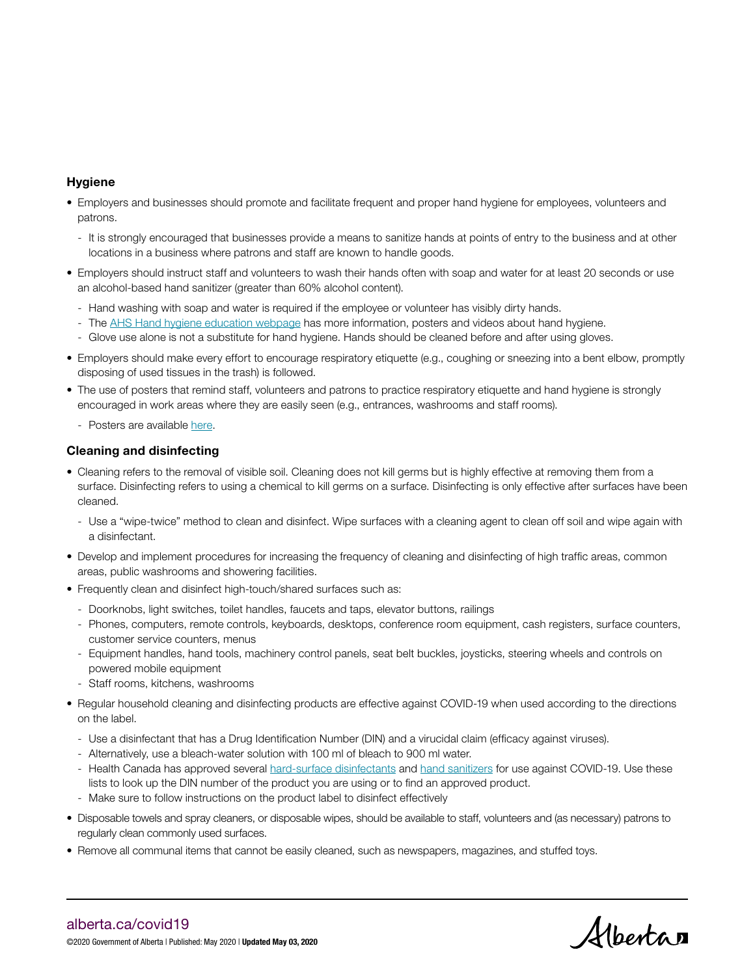### Hygiene

- Employers and businesses should promote and facilitate frequent and proper hand hygiene for employees, volunteers and patrons.
	- It is strongly encouraged that businesses provide a means to sanitize hands at points of entry to the business and at other locations in a business where patrons and staff are known to handle goods.
- Employers should instruct staff and volunteers to wash their hands often with soap and water for at least 20 seconds or use an alcohol-based hand sanitizer (greater than 60% alcohol content).
	- Hand washing with soap and water is required if the employee or volunteer has visibly dirty hands.
	- The [AHS Hand hygiene education webpage](https://www.albertahealthservices.ca/info/Page14955.aspx) has more information, posters and videos about hand hygiene.
	- Glove use alone is not a substitute for hand hygiene. Hands should be cleaned before and after using gloves.
- Employers should make every effort to encourage respiratory etiquette (e.g., coughing or sneezing into a bent elbow, promptly disposing of used tissues in the trash) is followed.
- The use of posters that remind staff, volunteers and patrons to practice respiratory etiquette and hand hygiene is strongly encouraged in work areas where they are easily seen (e.g., entrances, washrooms and staff rooms).
	- Posters are available [here](https://open.alberta.ca/publications/covid-19-information-help-prevent-the-spread-poster).

### Cleaning and disinfecting

- Cleaning refers to the removal of visible soil. Cleaning does not kill germs but is highly effective at removing them from a surface. Disinfecting refers to using a chemical to kill germs on a surface. Disinfecting is only effective after surfaces have been cleaned.
	- Use a "wipe-twice" method to clean and disinfect. Wipe surfaces with a cleaning agent to clean off soil and wipe again with a disinfectant.
- Develop and implement procedures for increasing the frequency of cleaning and disinfecting of high traffic areas, common areas, public washrooms and showering facilities.
- Frequently clean and disinfect high-touch/shared surfaces such as:
	- Doorknobs, light switches, toilet handles, faucets and taps, elevator buttons, railings
	- Phones, computers, remote controls, keyboards, desktops, conference room equipment, cash registers, surface counters, customer service counters, menus
	- Equipment handles, hand tools, machinery control panels, seat belt buckles, joysticks, steering wheels and controls on powered mobile equipment
	- Staff rooms, kitchens, washrooms
- Regular household cleaning and disinfecting products are effective against COVID-19 when used according to the directions on the label.
	- Use a disinfectant that has a Drug Identification Number (DIN) and a virucidal claim (efficacy against viruses).
	- Alternatively, use a bleach-water solution with 100 ml of bleach to 900 ml water.
	- Health Canada has approved several [hard-surface disinfectants](https://www.canada.ca/en/health-canada/services/drugs-health-products/disinfectants/covid-19/list.html) and [hand sanitizers](https://www.canada.ca/en/health-canada/services/drugs-health-products/disinfectants/covid-19/list.html) for use against COVID-19. Use these lists to look up the DIN number of the product you are using or to find an approved product.
	- Make sure to follow instructions on the product label to disinfect effectively
- Disposable towels and spray cleaners, or disposable wipes, should be available to staff, volunteers and (as necessary) patrons to regularly clean commonly used surfaces.
- Remove all communal items that cannot be easily cleaned, such as newspapers, magazines, and stuffed toys.

Albertan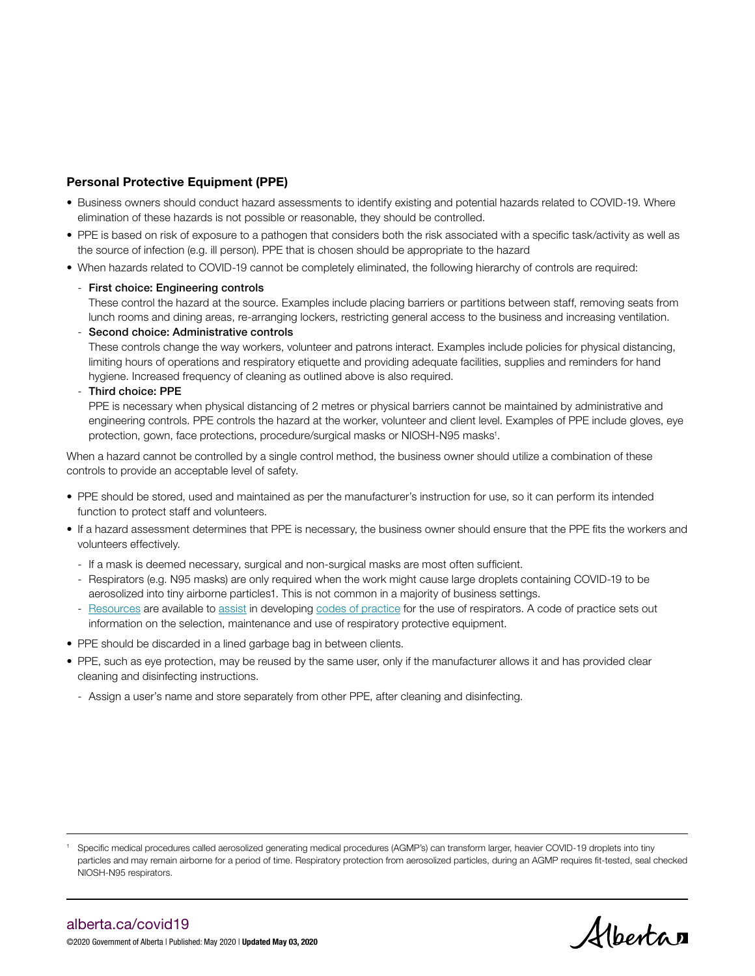### Personal Protective Equipment (PPE)

- Business owners should conduct hazard assessments to identify existing and potential hazards related to COVID-19. Where elimination of these hazards is not possible or reasonable, they should be controlled.
- PPE is based on risk of exposure to a pathogen that considers both the risk associated with a specific task/activity as well as the source of infection (e.g. ill person). PPE that is chosen should be appropriate to the hazard
- When hazards related to COVID-19 cannot be completely eliminated, the following hierarchy of controls are required:

### - First choice: Engineering controls

These control the hazard at the source. Examples include placing barriers or partitions between staff, removing seats from lunch rooms and dining areas, re-arranging lockers, restricting general access to the business and increasing ventilation.

- Second choice: Administrative controls

These controls change the way workers, volunteer and patrons interact. Examples include policies for physical distancing, limiting hours of operations and respiratory etiquette and providing adequate facilities, supplies and reminders for hand hygiene. Increased frequency of cleaning as outlined above is also required.

- Third choice: PPE

PPE is necessary when physical distancing of 2 metres or physical barriers cannot be maintained by administrative and engineering controls. PPE controls the hazard at the worker, volunteer and client level. Examples of PPE include gloves, eye protection, gown, face protections, procedure/surgical masks or NIOSH-N95 masks<sup>1</sup>.

When a hazard cannot be controlled by a single control method, the business owner should utilize a combination of these controls to provide an acceptable level of safety.

- PPE should be stored, used and maintained as per the manufacturer's instruction for use, so it can perform its intended function to protect staff and volunteers.
- If a hazard assessment determines that PPE is necessary, the business owner should ensure that the PPE fits the workers and volunteers effectively.
	- If a mask is deemed necessary, surgical and non-surgical masks are most often sufficient.
	- Respirators (e.g. N95 masks) are only required when the work might cause large droplets containing COVID-19 to be aerosolized into tiny airborne particles1. This is not common in a majority of business settings.
	- [Resources](https://open.alberta.ca/dataset/c35f3271-aacf-4d49-b97d-41f7b44e48b7/resource/12cbf1b9-8c79-46e6-b283-13d601a0980b/download/lbr-respiratory-viruses-and-the-workplace-bh022-2019-03.pdf) are available to [assist](https://ohs-pubstore.labour.alberta.ca/ppe001) in developing [codes of practice](https://ohs-pubstore.labour.alberta.ca/ppe004) for the use of respirators. A code of practice sets out information on the selection, maintenance and use of respiratory protective equipment.
- PPE should be discarded in a lined garbage bag in between clients.
- PPE, such as eye protection, may be reused by the same user, only if the manufacturer allows it and has provided clear cleaning and disinfecting instructions.
	- Assign a user's name and store separately from other PPE, after cleaning and disinfecting.

Albertan

<sup>1</sup> Specific medical procedures called aerosolized generating medical procedures (AGMP's) can transform larger, heavier COVID-19 droplets into tiny particles and may remain airborne for a period of time. Respiratory protection from aerosolized particles, during an AGMP requires fit-tested, seal checked NIOSH-N95 respirators.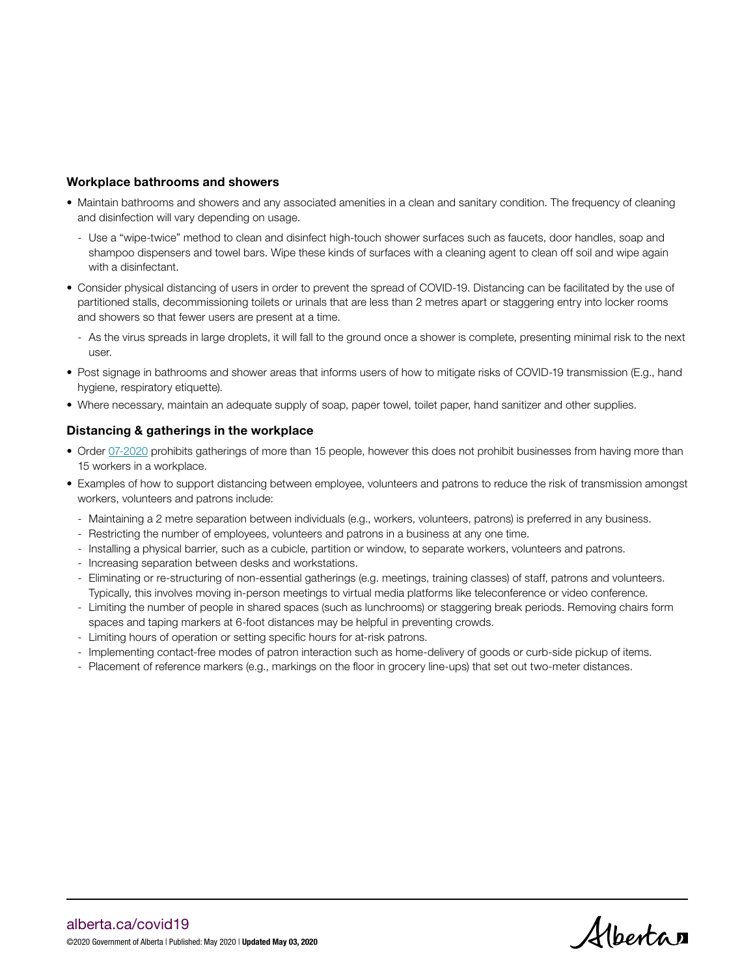### Workplace bathrooms and showers

- Maintain bathrooms and showers and any associated amenities in a clean and sanitary condition. The frequency of cleaning and disinfection will vary depending on usage.
	- Use a "wipe-twice" method to clean and disinfect high-touch shower surfaces such as faucets, door handles, soap and shampoo dispensers and towel bars. Wipe these kinds of surfaces with a cleaning agent to clean off soil and wipe again with a disinfectant.
- Consider physical distancing of users in order to prevent the spread of COVID-19. Distancing can be facilitated by the use of partitioned stalls, decommissioning toilets or urinals that are less than 2 metres apart or staggering entry into locker rooms and showers so that fewer users are present at a time.
	- As the virus spreads in large droplets, it will fall to the ground once a shower is complete, presenting minimal risk to the next user.
- Post signage in bathrooms and shower areas that informs users of how to mitigate risks of COVID-19 transmission (E.g., hand hygiene, respiratory etiquette).
- Where necessary, maintain an adequate supply of soap, paper towel, toilet paper, hand sanitizer and other supplies.

### Distancing & gatherings in the workplace

- Order [07-2020](https://open.alberta.ca/dataset/c02f3b06-9c37-4845-98ee-d07d805fdce1/resource/32f3367d-9a15-4aef-af6e-4e960891c14e/download/health-cmoh-record-of-decision-cmoh-07-2020.pdf) prohibits gatherings of more than 15 people, however this does not prohibit businesses from having more than 15 workers in a workplace.
- Examples of how to support distancing between employee, volunteers and patrons to reduce the risk of transmission amongst workers, volunteers and patrons include:
	- Maintaining a 2 metre separation between individuals (e.g., workers, volunteers, patrons) is preferred in any business.
	- Restricting the number of employees, volunteers and patrons in a business at any one time.
	- Installing a physical barrier, such as a cubicle, partition or window, to separate workers, volunteers and patrons.
	- Increasing separation between desks and workstations.
	- Eliminating or re-structuring of non-essential gatherings (e.g. meetings, training classes) of staff, patrons and volunteers. Typically, this involves moving in-person meetings to virtual media platforms like teleconference or video conference.
	- Limiting the number of people in shared spaces (such as lunchrooms) or staggering break periods. Removing chairs form spaces and taping markers at 6-foot distances may be helpful in preventing crowds.
	- Limiting hours of operation or setting specific hours for at-risk patrons.
	- Implementing contact-free modes of patron interaction such as home-delivery of goods or curb-side pickup of items.
	- Placement of reference markers (e.g., markings on the floor in grocery line-ups) that set out two-meter distances.

Albertan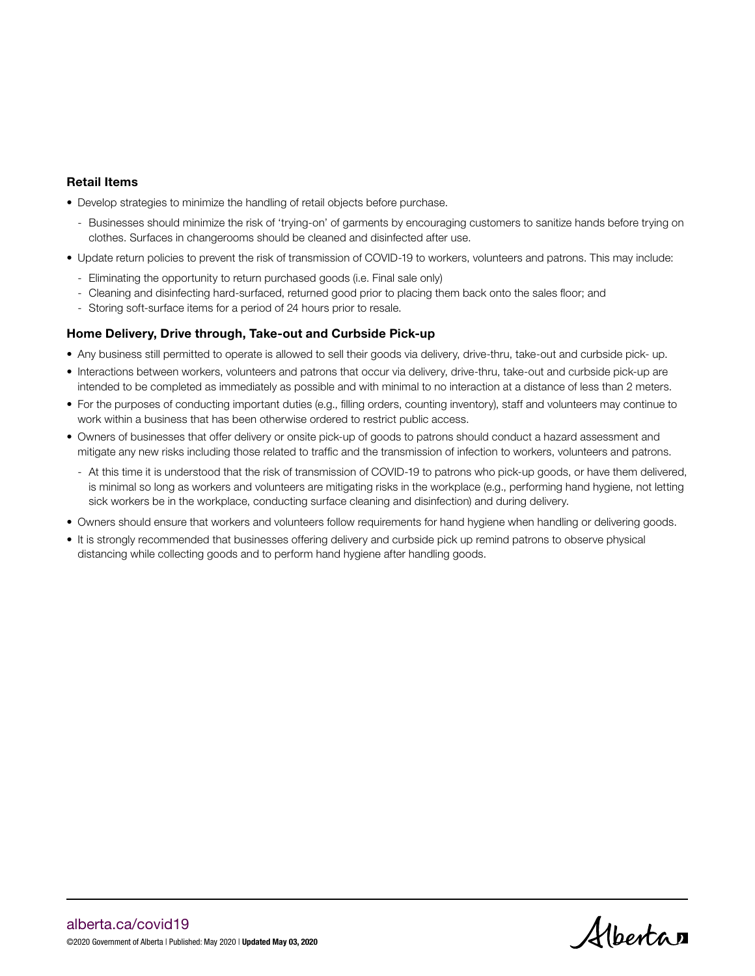### Retail Items

- Develop strategies to minimize the handling of retail objects before purchase.
	- Businesses should minimize the risk of 'trying-on' of garments by encouraging customers to sanitize hands before trying on clothes. Surfaces in changerooms should be cleaned and disinfected after use.
- Update return policies to prevent the risk of transmission of COVID-19 to workers, volunteers and patrons. This may include:
	- Eliminating the opportunity to return purchased goods (i.e. Final sale only)
	- Cleaning and disinfecting hard-surfaced, returned good prior to placing them back onto the sales floor; and
	- Storing soft-surface items for a period of 24 hours prior to resale.

### Home Delivery, Drive through, Take-out and Curbside Pick-up

- Any business still permitted to operate is allowed to sell their goods via delivery, drive-thru, take-out and curbside pick- up.
- Interactions between workers, volunteers and patrons that occur via delivery, drive-thru, take-out and curbside pick-up are intended to be completed as immediately as possible and with minimal to no interaction at a distance of less than 2 meters.
- For the purposes of conducting important duties (e.g., filling orders, counting inventory), staff and volunteers may continue to work within a business that has been otherwise ordered to restrict public access.
- Owners of businesses that offer delivery or onsite pick-up of goods to patrons should conduct a hazard assessment and mitigate any new risks including those related to traffic and the transmission of infection to workers, volunteers and patrons.
	- At this time it is understood that the risk of transmission of COVID-19 to patrons who pick-up goods, or have them delivered, is minimal so long as workers and volunteers are mitigating risks in the workplace (e.g., performing hand hygiene, not letting sick workers be in the workplace, conducting surface cleaning and disinfection) and during delivery.
- Owners should ensure that workers and volunteers follow requirements for hand hygiene when handling or delivering goods.
- It is strongly recommended that businesses offering delivery and curbside pick up remind patrons to observe physical distancing while collecting goods and to perform hand hygiene after handling goods.

Albertan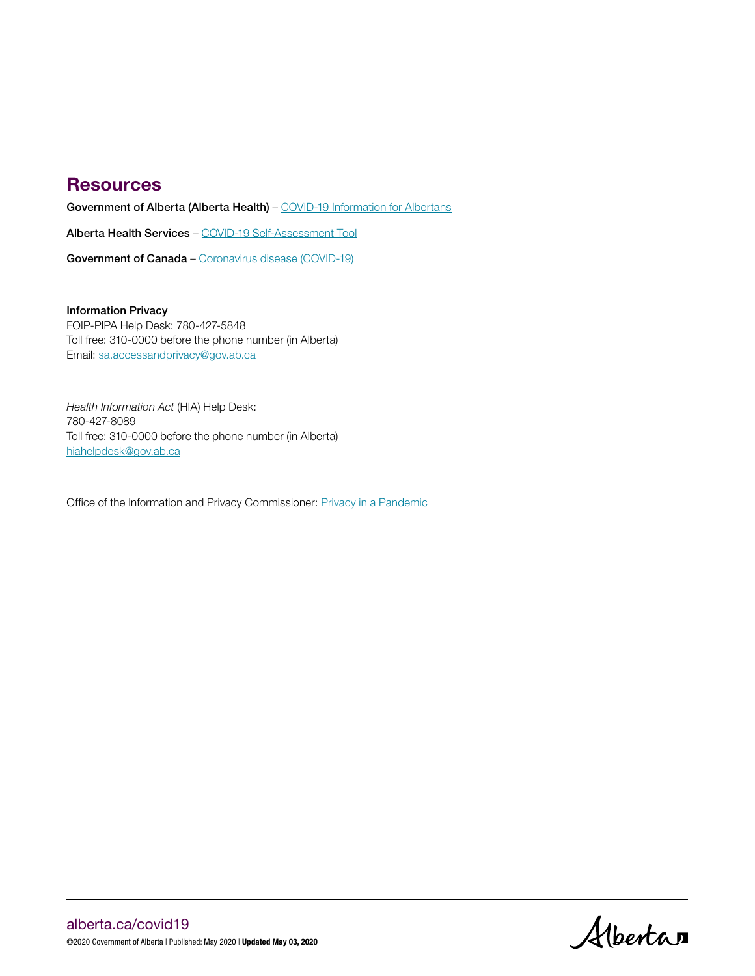### **Resources**

Government of Alberta (Alberta Health) - [COVID-19 Information for Albertans](https://www.alberta.ca/coronavirus-info-for-albertans.aspx)

Alberta Health Services – [COVID-19 Self-Assessment Tool](https://myhealth.alberta.ca/Journey/COVID-19/Pages/COVID-Self-Assessment.aspx?utm_source=google&utm_medium=sem&utm_campaign=Covid19&utm_term=self-assessment&utm_content=GoA-v1&gclid=EAIaIQobChMI89aZh4an6AIV_yCtBh0FXAACEAAYASAAEgJhNfD_BwE)

Government of Canada – [Coronavirus disease \(COVID-19\)](https://www.canada.ca/en/public-health/services/diseases/coronavirus-disease-covid-19.html)

### Information Privacy

FOIP-PIPA Help Desk: 780-427-5848 Toll free: 310-0000 before the phone number (in Alberta) Email: [sa.accessandprivacy@gov.ab.ca](mailto:sa.accessandprivacy%40gov.ab.ca?subject=)

*Health Information Act* (HIA) Help Desk: 780-427-8089 Toll free: 310-0000 before the phone number (in Alberta) [hiahelpdesk@gov.ab.ca](mailto:hiahelpdesk%40gov.ab.ca?subject=)

Office of the Information and Privacy Commissioner: [Privacy in a Pandemic](https://www.oipc.ab.ca/resources/privacy-in-a-pandemic-advisory.aspx)

Albertan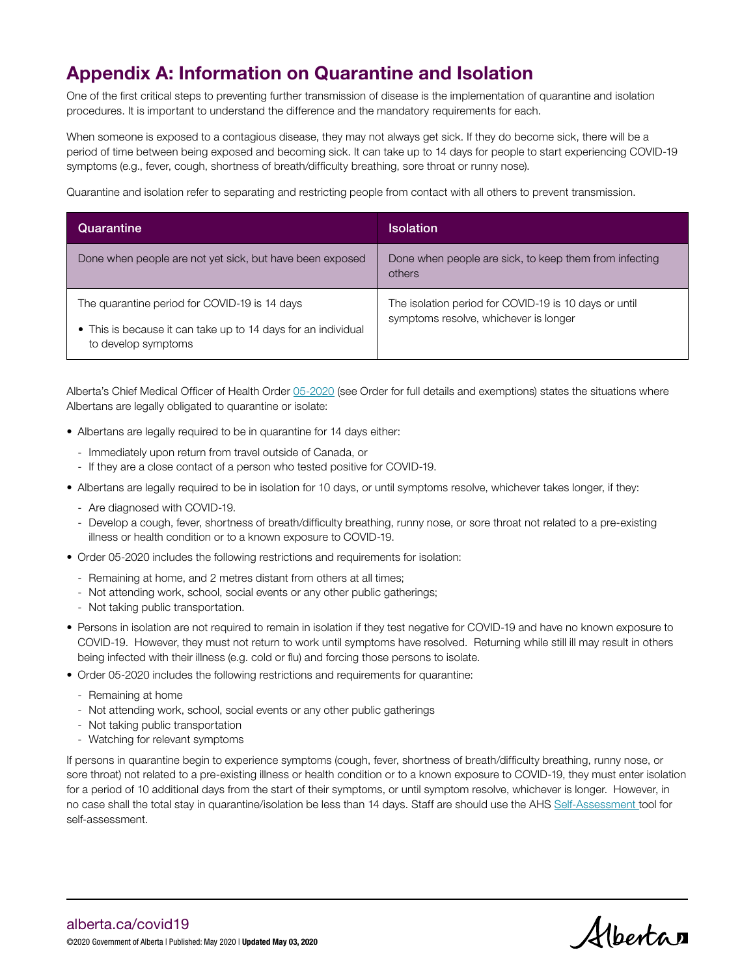# Appendix A: Information on Quarantine and Isolation

One of the first critical steps to preventing further transmission of disease is the implementation of quarantine and isolation procedures. It is important to understand the difference and the mandatory requirements for each.

When someone is exposed to a contagious disease, they may not always get sick. If they do become sick, there will be a period of time between being exposed and becoming sick. It can take up to 14 days for people to start experiencing COVID-19 symptoms (e.g., fever, cough, shortness of breath/difficulty breathing, sore throat or runny nose).

Quarantine and isolation refer to separating and restricting people from contact with all others to prevent transmission.

| Quarantine                                                                                                                            | <b>Isolation</b>                                                                               |
|---------------------------------------------------------------------------------------------------------------------------------------|------------------------------------------------------------------------------------------------|
| Done when people are not yet sick, but have been exposed                                                                              | Done when people are sick, to keep them from infecting<br>others                               |
| The quarantine period for COVID-19 is 14 days<br>• This is because it can take up to 14 days for an individual<br>to develop symptoms | The isolation period for COVID-19 is 10 days or until<br>symptoms resolve, whichever is longer |

Alberta's Chief Medical Officer of Health Order [05-2020](https://open.alberta.ca/dataset/005ee2c3-9877-4145-98d0-4306162ac5aa/resource/46aa9494-7454-4dd4-9f74-a250257be1ab/download/health-cmoh-record-fof-decision-cmoh-05-2020.pdf) (see Order for full details and exemptions) states the situations where Albertans are legally obligated to quarantine or isolate:

- Albertans are legally required to be in quarantine for 14 days either:
	- Immediately upon return from travel outside of Canada, or
	- If they are a close contact of a person who tested positive for COVID-19.
- Albertans are legally required to be in isolation for 10 days, or until symptoms resolve, whichever takes longer, if they:
	- Are diagnosed with COVID-19.
	- Develop a cough, fever, shortness of breath/difficulty breathing, runny nose, or sore throat not related to a pre-existing illness or health condition or to a known exposure to COVID-19.
- Order 05-2020 includes the following restrictions and requirements for isolation:
	- Remaining at home, and 2 metres distant from others at all times;
	- Not attending work, school, social events or any other public gatherings;
	- Not taking public transportation.
- Persons in isolation are not required to remain in isolation if they test negative for COVID-19 and have no known exposure to COVID-19. However, they must not return to work until symptoms have resolved. Returning while still ill may result in others being infected with their illness (e.g. cold or flu) and forcing those persons to isolate.
- Order 05-2020 includes the following restrictions and requirements for quarantine:
	- Remaining at home
	- Not attending work, school, social events or any other public gatherings
	- Not taking public transportation
	- Watching for relevant symptoms

If persons in quarantine begin to experience symptoms (cough, fever, shortness of breath/difficulty breathing, runny nose, or sore throat) not related to a pre-existing illness or health condition or to a known exposure to COVID-19, they must enter isolation for a period of 10 additional days from the start of their symptoms, or until symptom resolve, whichever is longer. However, in no case shall the total stay in quarantine/isolation be less than 14 days. Staff are should use the AHS [Self-Assessment](https://myhealth.alberta.ca/Journey/COVID-19/Pages/COVID-Self-Assessment.aspx) tool for self-assessment.

Albertan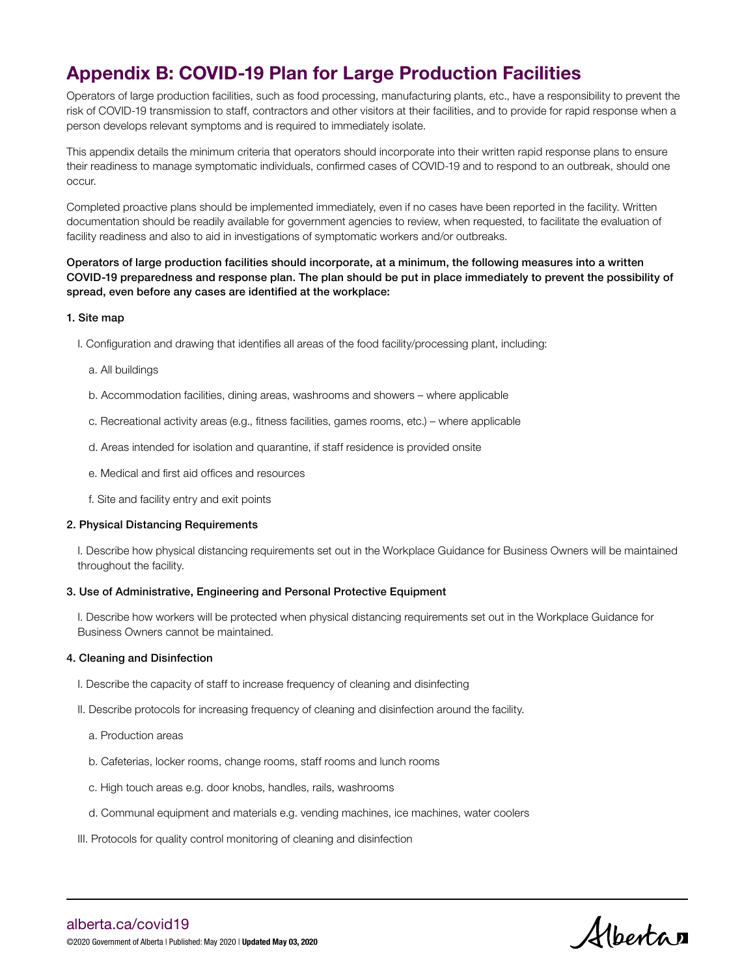## Appendix B: COVID-19 Plan for Large Production Facilities

Operators of large production facilities, such as food processing, manufacturing plants, etc., have a responsibility to prevent the risk of COVID-19 transmission to staff, contractors and other visitors at their facilities, and to provide for rapid response when a person develops relevant symptoms and is required to immediately isolate.

This appendix details the minimum criteria that operators should incorporate into their written rapid response plans to ensure their readiness to manage symptomatic individuals, confirmed cases of COVID-19 and to respond to an outbreak, should one occur.

Completed proactive plans should be implemented immediately, even if no cases have been reported in the facility. Written documentation should be readily available for government agencies to review, when requested, to facilitate the evaluation of facility readiness and also to aid in investigations of symptomatic workers and/or outbreaks.

### Operators of large production facilities should incorporate, at a minimum, the following measures into a written COVID-19 preparedness and response plan. The plan should be put in place immediately to prevent the possibility of spread, even before any cases are identified at the workplace:

### 1. Site map

- I. Configuration and drawing that identifies all areas of the food facility/processing plant, including:
	- a. All buildings
	- b. Accommodation facilities, dining areas, washrooms and showers where applicable
	- c. Recreational activity areas (e.g., fitness facilities, games rooms, etc.) where applicable
	- d. Areas intended for isolation and quarantine, if staff residence is provided onsite
	- e. Medical and first aid offices and resources
	- f. Site and facility entry and exit points

### 2. Physical Distancing Requirements

I. Describe how physical distancing requirements set out in the Workplace Guidance for Business Owners will be maintained throughout the facility.

### 3. Use of Administrative, Engineering and Personal Protective Equipment

I. Describe how workers will be protected when physical distancing requirements set out in the Workplace Guidance for Business Owners cannot be maintained.

### 4. Cleaning and Disinfection

- I. Describe the capacity of staff to increase frequency of cleaning and disinfecting
- II. Describe protocols for increasing frequency of cleaning and disinfection around the facility.
	- a. Production areas
	- b. Cafeterias, locker rooms, change rooms, staff rooms and lunch rooms
	- c. High touch areas e.g. door knobs, handles, rails, washrooms
	- d. Communal equipment and materials e.g. vending machines, ice machines, water coolers
- III. Protocols for quality control monitoring of cleaning and disinfection

Albertan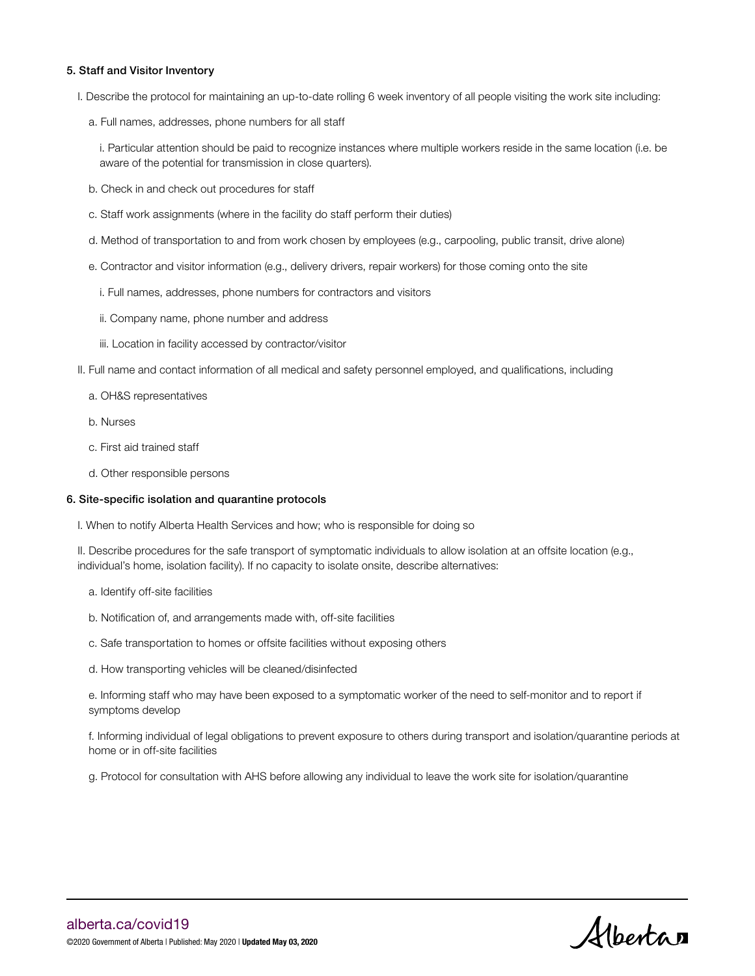### 5. Staff and Visitor Inventory

- I. Describe the protocol for maintaining an up-to-date rolling 6 week inventory of all people visiting the work site including:
	- a. Full names, addresses, phone numbers for all staff

i. Particular attention should be paid to recognize instances where multiple workers reside in the same location (i.e. be aware of the potential for transmission in close quarters).

- b. Check in and check out procedures for staff
- c. Staff work assignments (where in the facility do staff perform their duties)
- d. Method of transportation to and from work chosen by employees (e.g., carpooling, public transit, drive alone)
- e. Contractor and visitor information (e.g., delivery drivers, repair workers) for those coming onto the site
	- i. Full names, addresses, phone numbers for contractors and visitors
	- ii. Company name, phone number and address
	- iii. Location in facility accessed by contractor/visitor
- II. Full name and contact information of all medical and safety personnel employed, and qualifications, including
	- a. OH&S representatives
	- b. Nurses
	- c. First aid trained staff
	- d. Other responsible persons

#### 6. Site-specific isolation and quarantine protocols

I. When to notify Alberta Health Services and how; who is responsible for doing so

II. Describe procedures for the safe transport of symptomatic individuals to allow isolation at an offsite location (e.g., individual's home, isolation facility). If no capacity to isolate onsite, describe alternatives:

- a. Identify off-site facilities
- b. Notification of, and arrangements made with, off-site facilities
- c. Safe transportation to homes or offsite facilities without exposing others
- d. How transporting vehicles will be cleaned/disinfected

e. Informing staff who may have been exposed to a symptomatic worker of the need to self-monitor and to report if symptoms develop

f. Informing individual of legal obligations to prevent exposure to others during transport and isolation/quarantine periods at home or in off-site facilities

g. Protocol for consultation with AHS before allowing any individual to leave the work site for isolation/quarantine

Albertan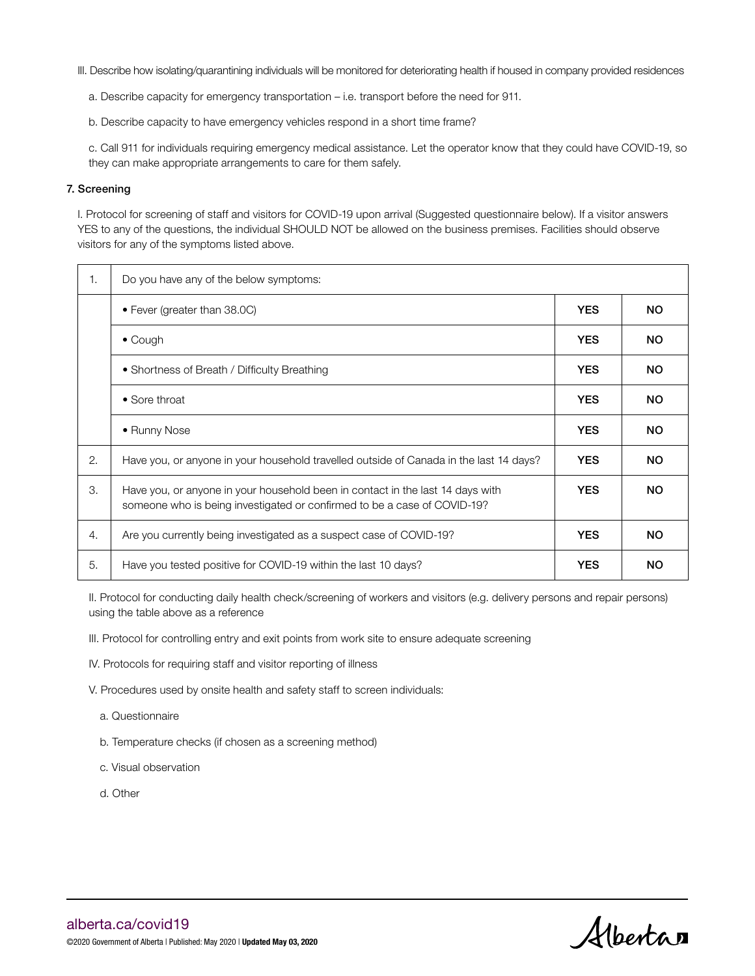- III. Describe how isolating/quarantining individuals will be monitored for deteriorating health if housed in company provided residences
	- a. Describe capacity for emergency transportation i.e. transport before the need for 911.
	- b. Describe capacity to have emergency vehicles respond in a short time frame?

c. Call 911 for individuals requiring emergency medical assistance. Let the operator know that they could have COVID-19, so they can make appropriate arrangements to care for them safely.

### 7. Screening

I. Protocol for screening of staff and visitors for COVID-19 upon arrival (Suggested questionnaire below). If a visitor answers YES to any of the questions, the individual SHOULD NOT be allowed on the business premises. Facilities should observe visitors for any of the symptoms listed above.

| 1. | Do you have any of the below symptoms:                                                                                                                     |            |           |
|----|------------------------------------------------------------------------------------------------------------------------------------------------------------|------------|-----------|
|    | • Fever (greater than 38.0C)                                                                                                                               | <b>YES</b> | <b>NO</b> |
|    | $\bullet$ Cough                                                                                                                                            | <b>YES</b> | <b>NO</b> |
|    | • Shortness of Breath / Difficulty Breathing                                                                                                               | <b>YES</b> | <b>NO</b> |
|    | $\bullet$ Sore throat                                                                                                                                      | <b>YES</b> | <b>NO</b> |
|    | • Runny Nose                                                                                                                                               | <b>YES</b> | <b>NO</b> |
| 2. | Have you, or anyone in your household travelled outside of Canada in the last 14 days?                                                                     | <b>YES</b> | <b>NO</b> |
| 3. | Have you, or anyone in your household been in contact in the last 14 days with<br>someone who is being investigated or confirmed to be a case of COVID-19? | <b>YES</b> | <b>NO</b> |
| 4. | Are you currently being investigated as a suspect case of COVID-19?                                                                                        | <b>YES</b> | <b>NO</b> |
| 5. | Have you tested positive for COVID-19 within the last 10 days?                                                                                             | <b>YES</b> | <b>NO</b> |

II. Protocol for conducting daily health check/screening of workers and visitors (e.g. delivery persons and repair persons) using the table above as a reference

- III. Protocol for controlling entry and exit points from work site to ensure adequate screening
- IV. Protocols for requiring staff and visitor reporting of illness
- V. Procedures used by onsite health and safety staff to screen individuals:
	- a. Questionnaire
	- b. Temperature checks (if chosen as a screening method)
	- c. Visual observation
	- d. Other

Albertan